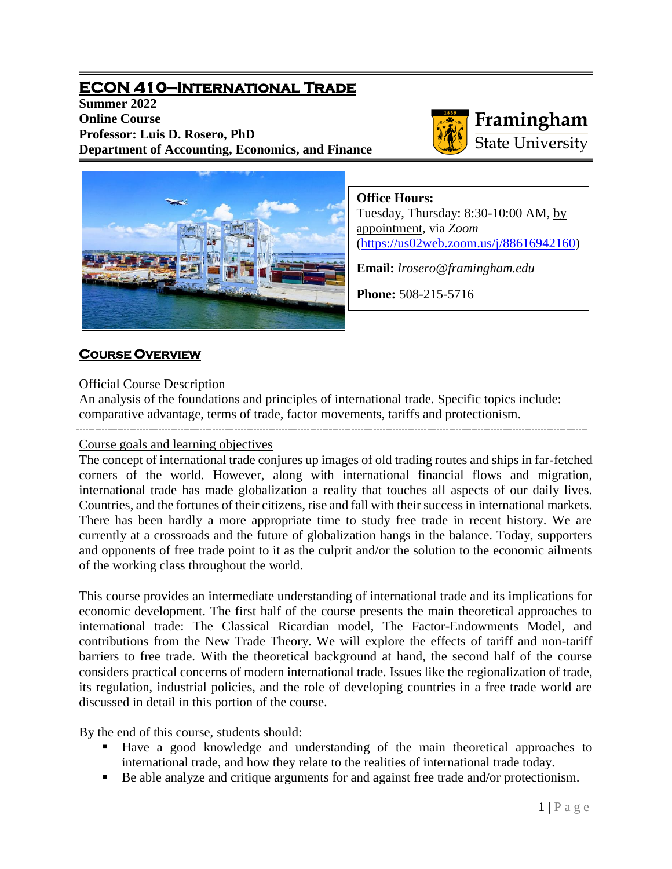# **ECON 410—International Trade**

**Summer 2022 Online Course Professor: Luis D. Rosero, PhD Department of Accounting, Economics, and Finance**



# Framingham **State University**



**Office Hours:**

Tuesday, Thursday: 8:30-10:00 AM, by appointment, via *Zoom* [\(https://us02web.zoom.us/j/88616942160\)](https://us02web.zoom.us/j/88616942160)

**Email:** *lrosero@framingham.edu*

**Phone:** 508-215-5716

## **COURSE OVERVIEW**

## Official Course Description

An analysis of the foundations and principles of international trade. Specific topics include: comparative advantage, terms of trade, factor movements, tariffs and protectionism.

## Course goals and learning objectives

The concept of international trade conjures up images of old trading routes and ships in far-fetched corners of the world. However, along with international financial flows and migration, international trade has made globalization a reality that touches all aspects of our daily lives. Countries, and the fortunes of their citizens, rise and fall with their success in international markets. There has been hardly a more appropriate time to study free trade in recent history. We are currently at a crossroads and the future of globalization hangs in the balance. Today, supporters and opponents of free trade point to it as the culprit and/or the solution to the economic ailments of the working class throughout the world.

This course provides an intermediate understanding of international trade and its implications for economic development. The first half of the course presents the main theoretical approaches to international trade: The Classical Ricardian model, The Factor-Endowments Model, and contributions from the New Trade Theory. We will explore the effects of tariff and non-tariff barriers to free trade. With the theoretical background at hand, the second half of the course considers practical concerns of modern international trade. Issues like the regionalization of trade, its regulation, industrial policies, and the role of developing countries in a free trade world are discussed in detail in this portion of the course.

By the end of this course, students should:

- Have a good knowledge and understanding of the main theoretical approaches to international trade, and how they relate to the realities of international trade today.
- Be able analyze and critique arguments for and against free trade and/or protectionism.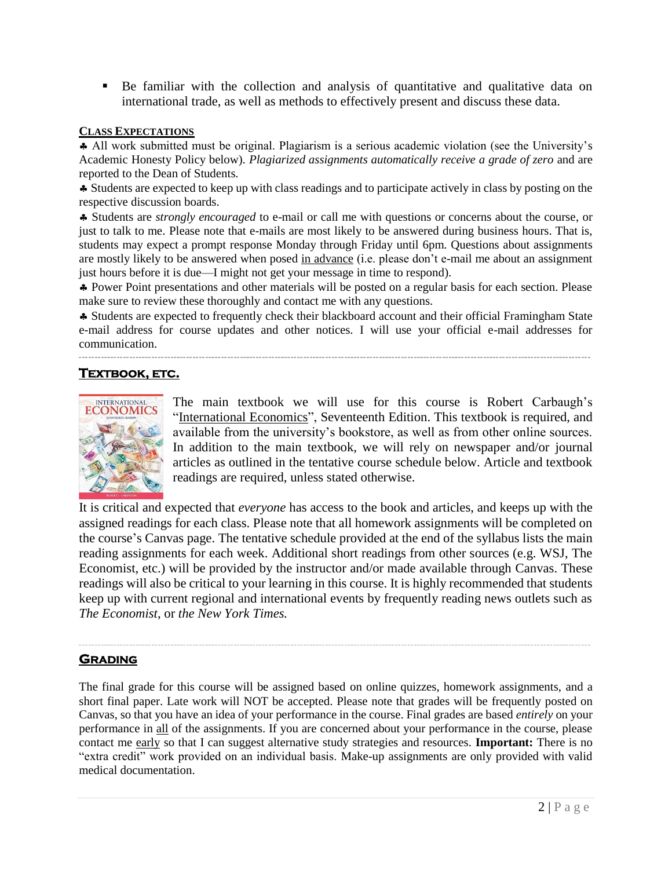Be familiar with the collection and analysis of quantitative and qualitative data on international trade, as well as methods to effectively present and discuss these data.

#### **CLASS EXPECTATIONS**

 All work submitted must be original. Plagiarism is a serious academic violation (see the University's Academic Honesty Policy below). *Plagiarized assignments automatically receive a grade of zero* and are reported to the Dean of Students.

 Students are expected to keep up with class readings and to participate actively in class by posting on the respective discussion boards.

 Students are *strongly encouraged* to e-mail or call me with questions or concerns about the course, or just to talk to me. Please note that e-mails are most likely to be answered during business hours. That is, students may expect a prompt response Monday through Friday until 6pm. Questions about assignments are mostly likely to be answered when posed in advance (i.e. please don't e-mail me about an assignment just hours before it is due—I might not get your message in time to respond).

 Power Point presentations and other materials will be posted on a regular basis for each section. Please make sure to review these thoroughly and contact me with any questions.

 Students are expected to frequently check their blackboard account and their official Framingham State e-mail address for course updates and other notices. I will use your official e-mail addresses for communication.

## **TEXTBOOK, ETC.**



The main textbook we will use for this course is Robert Carbaugh's "International Economics", Seventeenth Edition. This textbook is required, and available from the university's bookstore, as well as from other online sources. In addition to the main textbook, we will rely on newspaper and/or journal articles as outlined in the tentative course schedule below. Article and textbook readings are required, unless stated otherwise.

It is critical and expected that *everyone* has access to the book and articles, and keeps up with the assigned readings for each class. Please note that all homework assignments will be completed on the course's Canvas page. The tentative schedule provided at the end of the syllabus lists the main reading assignments for each week. Additional short readings from other sources (e.g. WSJ, The Economist, etc.) will be provided by the instructor and/or made available through Canvas. These readings will also be critical to your learning in this course. It is highly recommended that students keep up with current regional and international events by frequently reading news outlets such as *The Economist,* or *the New York Times.*

### **GRADING**

The final grade for this course will be assigned based on online quizzes, homework assignments, and a short final paper. Late work will NOT be accepted. Please note that grades will be frequently posted on Canvas, so that you have an idea of your performance in the course. Final grades are based *entirely* on your performance in all of the assignments. If you are concerned about your performance in the course, please contact me early so that I can suggest alternative study strategies and resources. **Important:** There is no "extra credit" work provided on an individual basis. Make-up assignments are only provided with valid medical documentation.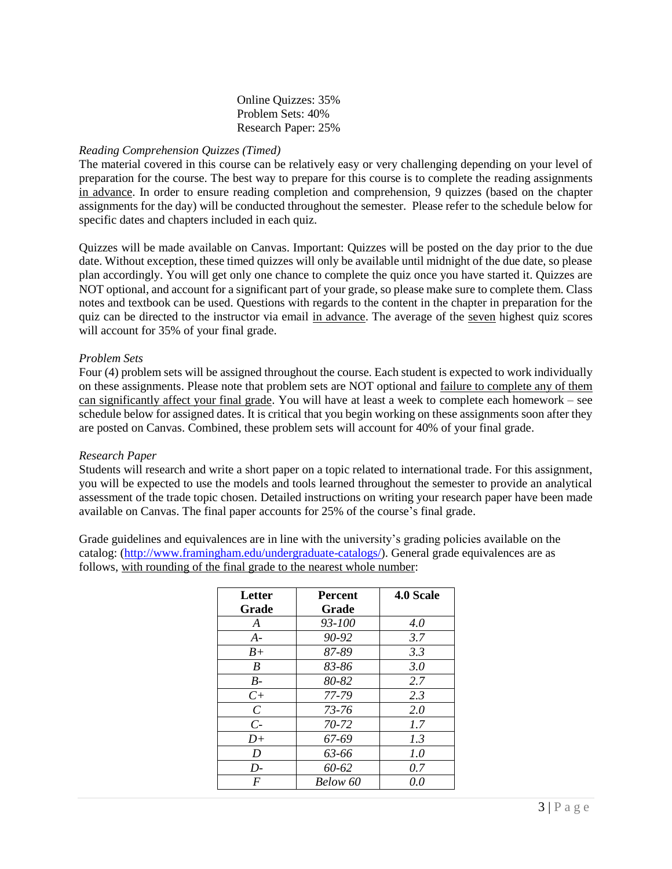#### Online Quizzes: 35% Problem Sets: 40% Research Paper: 25%

#### *Reading Comprehension Quizzes (Timed)*

The material covered in this course can be relatively easy or very challenging depending on your level of preparation for the course. The best way to prepare for this course is to complete the reading assignments in advance. In order to ensure reading completion and comprehension, 9 quizzes (based on the chapter assignments for the day) will be conducted throughout the semester. Please refer to the schedule below for specific dates and chapters included in each quiz.

Quizzes will be made available on Canvas. Important: Quizzes will be posted on the day prior to the due date. Without exception, these timed quizzes will only be available until midnight of the due date, so please plan accordingly. You will get only one chance to complete the quiz once you have started it. Quizzes are NOT optional, and account for a significant part of your grade, so please make sure to complete them. Class notes and textbook can be used. Questions with regards to the content in the chapter in preparation for the quiz can be directed to the instructor via email in advance. The average of the seven highest quiz scores will account for 35% of your final grade.

#### *Problem Sets*

Four (4) problem sets will be assigned throughout the course. Each student is expected to work individually on these assignments. Please note that problem sets are NOT optional and failure to complete any of them can significantly affect your final grade. You will have at least a week to complete each homework – see schedule below for assigned dates. It is critical that you begin working on these assignments soon after they are posted on Canvas. Combined, these problem sets will account for 40% of your final grade.

#### *Research Paper*

Students will research and write a short paper on a topic related to international trade. For this assignment, you will be expected to use the models and tools learned throughout the semester to provide an analytical assessment of the trade topic chosen. Detailed instructions on writing your research paper have been made available on Canvas. The final paper accounts for 25% of the course's final grade.

Grade guidelines and equivalences are in line with the university's grading policies available on the catalog: [\(http://www.framingham.edu/undergraduate-catalogs/\)](http://www.framingham.edu/undergraduate-catalogs/). General grade equivalences are as follows, with rounding of the final grade to the nearest whole number:

| Letter                | <b>Percent</b> | 4.0 Scale |
|-----------------------|----------------|-----------|
| Grade                 | Grade          |           |
| A                     | $93 - 100$     | 4.0       |
| $A-$                  | 90-92          | 3.7       |
| $B+$                  | 87-89          | 3.3       |
| B                     | 83-86          | 3.0       |
| $B-$                  | 80-82          | 2.7       |
| $C+$                  | 77-79          | 2.3       |
| $\mathcal{C}_{0}^{0}$ | 73-76          | 2.0       |
| $\mathcal{C}$         | 70-72          | 1.7       |
| $D+$                  | 67-69          | 1.3       |
| D                     | 63-66          | 1.0       |
| $D-$                  | 60-62          | 0.7       |
| F                     | Below 60       | 0.0       |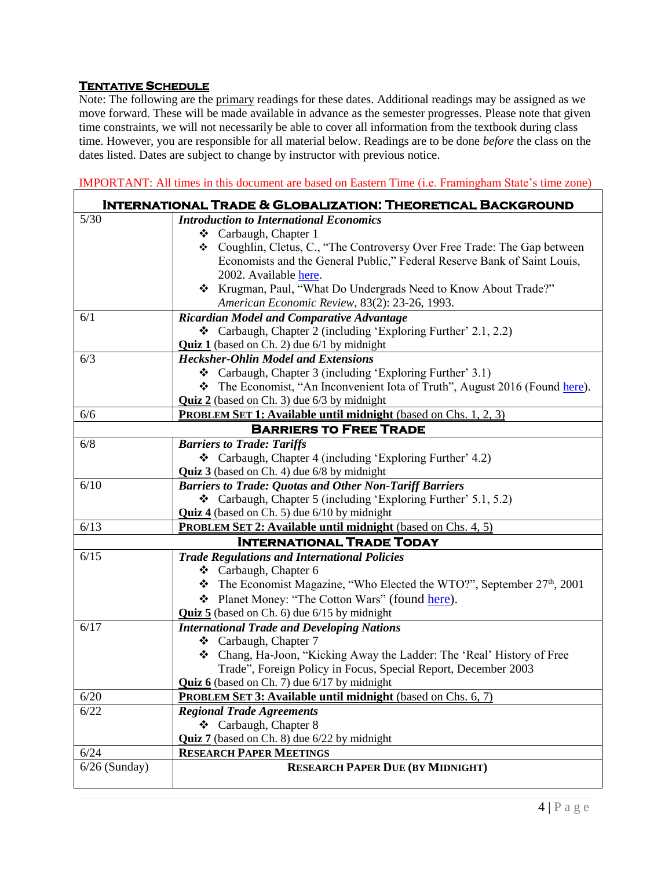## **TENTATIVE SCHEDULE**

Note: The following are the primary readings for these dates. Additional readings may be assigned as we move forward. These will be made available in advance as the semester progresses. Please note that given time constraints, we will not necessarily be able to cover all information from the textbook during class time. However, you are responsible for all material below. Readings are to be done *before* the class on the dates listed. Dates are subject to change by instructor with previous notice.

IMPORTANT: All times in this document are based on Eastern Time (i.e. Framingham State's time zone)  **International Trade & Globalization: Theoretical Background**  5/30 *Introduction to International Economics* Carbaugh, Chapter 1 Coughlin, Cletus, C., "The Controversy Over Free Trade: The Gap between Economists and the General Public," Federal Reserve Bank of Saint Louis, 2002. Available [here.](https://files.stlouisfed.org/files/htdocs/publications/review/02/01/1-22Coughlin.pdf) Krugman, Paul, "What Do Undergrads Need to Know About Trade?" *American Economic Review*, 83(2): 23-26, 1993. 6/1 *Ricardian Model and Comparative Advantage* Carbaugh, Chapter 2 (including 'Exploring Further' 2.1, 2.2) **Quiz 1** (based on Ch. 2) due 6/1 by midnight 6/3 *Hecksher-Ohlin Model and Extensions* Carbaugh, Chapter 3 (including 'Exploring Further' 3.1) The Economist, "An Inconvenient Iota of Truth", August 2016 (Found [here\)](https://www.economist.com/economics-brief/2016/08/06/an-inconvenient-iota-of-truth). **Quiz 2** (based on Ch. 3) due 6/3 by midnight 6/6 **PROBLEM SET 1: Available until midnight** (based on Chs. 1, 2, 3) **BARRIERS TO FREE TRADE** 6/8 *Barriers to Trade: Tariffs*  $\triangleleft$  Carbaugh, Chapter 4 (including 'Exploring Further' 4.2) **Quiz 3** (based on Ch. 4) due 6/8 by midnight 6/10 *Barriers to Trade: Quotas and Other Non-Tariff Barriers*  $\triangleleft$  Carbaugh, Chapter 5 (including 'Exploring Further' 5.1, 5.2) **Quiz 4** (based on Ch. 5) due 6/10 by midnight 6/13 **PROBLEM SET 2: Available until midnight** (based on Chs. 4, 5) **International Trade Today** 6/15 *Trade Regulations and International Policies* Carbaugh, Chapter 6  $\cdot \cdot$  The Economist Magazine, "Who Elected the WTO?", September 27<sup>th</sup>, 2001 ❖ Planet Money: "The Cotton Wars" (found [here\)](http://www.npr.org/blogs/money/2013/05/03/180912847/episode-224-the-cotton-wars). **Quiz 5** (based on Ch. 6) due 6/15 by midnight 6/17 *International Trade and Developing Nations* Carbaugh, Chapter 7 Chang, Ha-Joon, "Kicking Away the Ladder: The 'Real' History of Free Trade", Foreign Policy in Focus, Special Report, December 2003 **Quiz 6** (based on Ch. 7) due 6/17 by midnight 6/20 **PROBLEM SET 3: Available until midnight** (based on Chs. 6, 7) 6/22 *Regional Trade Agreements* Carbaugh, Chapter 8 **Quiz 7** (based on Ch. 8) due 6/22 by midnight 6/24 **RESEARCH PAPER MEETINGS** 6/26 (Sunday) **RESEARCH PAPER DUE (BY MIDNIGHT)**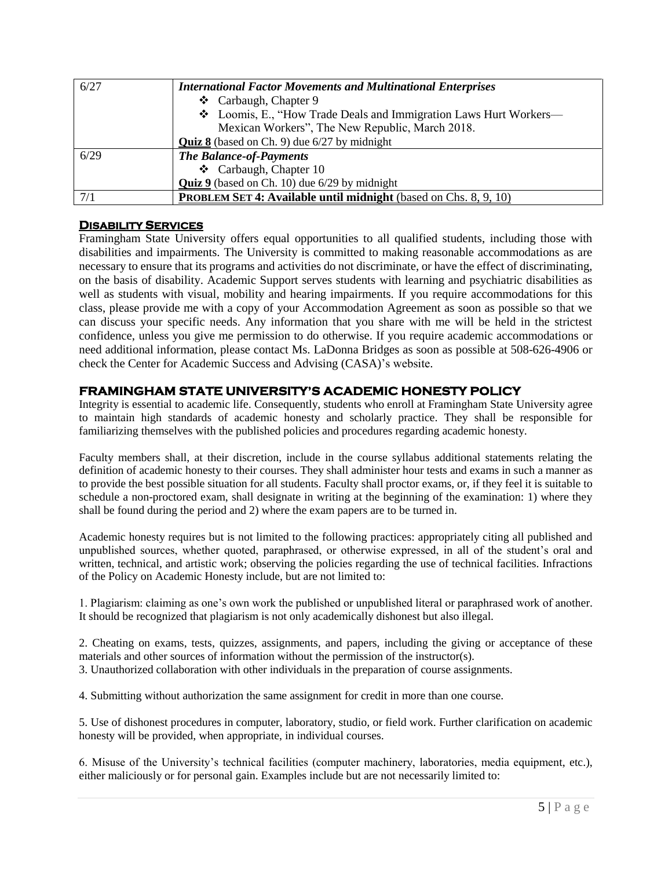| 6/27 | <b>International Factor Movements and Multinational Enterprises</b>     |
|------|-------------------------------------------------------------------------|
|      | ❖ Carbaugh, Chapter 9                                                   |
|      | ❖ Loomis, E., "How Trade Deals and Immigration Laws Hurt Workers—       |
|      | Mexican Workers", The New Republic, March 2018.                         |
|      | <b>Quiz 8</b> (based on Ch. 9) due 6/27 by midnight                     |
| 6/29 | <b>The Balance-of-Payments</b>                                          |
|      | ❖ Carbaugh, Chapter 10                                                  |
|      | <b>Quiz 9</b> (based on Ch. 10) due 6/29 by midnight                    |
| 7/1  | <b>PROBLEM SET 4: Available until midnight</b> (based on Chs. 8, 9, 10) |
|      |                                                                         |

### **DISABILITY SERVICES**

Framingham State University offers equal opportunities to all qualified students, including those with disabilities and impairments. The University is committed to making reasonable accommodations as are necessary to ensure that its programs and activities do not discriminate, or have the effect of discriminating, on the basis of disability. Academic Support serves students with learning and psychiatric disabilities as well as students with visual, mobility and hearing impairments. If you require accommodations for this class, please provide me with a copy of your Accommodation Agreement as soon as possible so that we can discuss your specific needs. Any information that you share with me will be held in the strictest confidence, unless you give me permission to do otherwise. If you require academic accommodations or need additional information, please contact Ms. LaDonna Bridges as soon as possible at 508-626-4906 or check the Center for Academic Success and Advising (CASA)'s website.

## **FRAMINGHAM STATE UNIVERSITY'S ACADEMIC HONESTY POLICY**

Integrity is essential to academic life. Consequently, students who enroll at Framingham State University agree to maintain high standards of academic honesty and scholarly practice. They shall be responsible for familiarizing themselves with the published policies and procedures regarding academic honesty.

Faculty members shall, at their discretion, include in the course syllabus additional statements relating the definition of academic honesty to their courses. They shall administer hour tests and exams in such a manner as to provide the best possible situation for all students. Faculty shall proctor exams, or, if they feel it is suitable to schedule a non-proctored exam, shall designate in writing at the beginning of the examination: 1) where they shall be found during the period and 2) where the exam papers are to be turned in.

Academic honesty requires but is not limited to the following practices: appropriately citing all published and unpublished sources, whether quoted, paraphrased, or otherwise expressed, in all of the student's oral and written, technical, and artistic work; observing the policies regarding the use of technical facilities. Infractions of the Policy on Academic Honesty include, but are not limited to:

1. Plagiarism: claiming as one's own work the published or unpublished literal or paraphrased work of another. It should be recognized that plagiarism is not only academically dishonest but also illegal.

2. Cheating on exams, tests, quizzes, assignments, and papers, including the giving or acceptance of these materials and other sources of information without the permission of the instructor(s). 3. Unauthorized collaboration with other individuals in the preparation of course assignments.

4. Submitting without authorization the same assignment for credit in more than one course.

5. Use of dishonest procedures in computer, laboratory, studio, or field work. Further clarification on academic honesty will be provided, when appropriate, in individual courses.

6. Misuse of the University's technical facilities (computer machinery, laboratories, media equipment, etc.), either maliciously or for personal gain. Examples include but are not necessarily limited to: